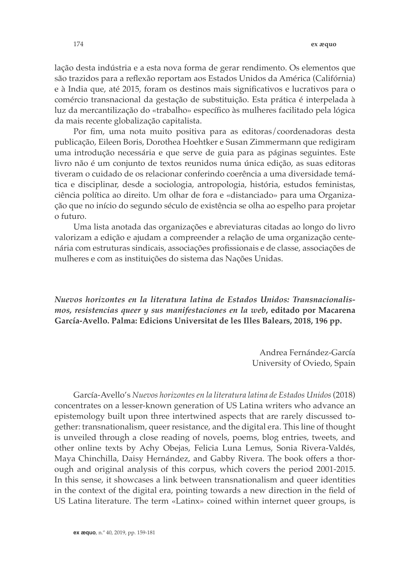lação desta indústria e a esta nova forma de gerar rendimento. Os elementos que são trazidos para a reflexão reportam aos Estados Unidos da América (Califórnia) e à India que, até 2015, foram os destinos mais significativos e lucrativos para o comércio transnacional da gestação de substituição. Esta prática é interpelada à luz da mercantilização do «trabalho» específico às mulheres facilitado pela lógica da mais recente globalização capitalista.

Por fim, uma nota muito positiva para as editoras/coordenadoras desta publicação, Eileen Boris, Dorothea Hoehtker e Susan Zimmermann que redigiram uma introdução necessária e que serve de guia para as páginas seguintes. Este livro não é um conjunto de textos reunidos numa única edição, as suas editoras tiveram o cuidado de os relacionar conferindo coerência a uma diversidade temática e disciplinar, desde a sociologia, antropologia, história, estudos feministas, ciência política ao direito. Um olhar de fora e «distanciado» para uma Organização que no início do segundo século de existência se olha ao espelho para projetar o futuro.

Uma lista anotada das organizações e abreviaturas citadas ao longo do livro valorizam a edição e ajudam a compreender a relação de uma organização centenária com estruturas sindicais, associações profissionais e de classe, associações de mulheres e com as instituições do sistema das Nações Unidas.

*Nuevos horizontes en la literatura latina de Estados Unidos: Transnacionalismos, resistencias queer y sus manifestaciones en la web***, editado por Macarena García-Avello. Palma: Edicions Universitat de les Illes Balears, 2018, 196 pp.**

> Andrea Fernández-García University of Oviedo, Spain

García-Avello's *Nuevos horizontes en la literatura latina de Estados Unidos* (2018) concentrates on a lesser-known generation of US Latina writers who advance an epistemology built upon three intertwined aspects that are rarely discussed together: transnationalism, queer resistance, and the digital era. This line of thought is unveiled through a close reading of novels, poems, blog entries, tweets, and other online texts by Achy Obejas, Felicia Luna Lemus, Sonia Rivera-Valdés, Maya Chinchilla, Daisy Hernández, and Gabby Rivera. The book offers a thorough and original analysis of this corpus, which covers the period 2001-2015. In this sense, it showcases a link between transnationalism and queer identities in the context of the digital era, pointing towards a new direction in the field of US Latina literature. The term «Latinx» coined within internet queer groups, is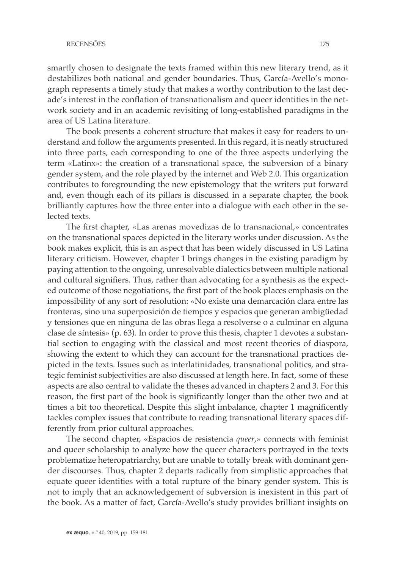smartly chosen to designate the texts framed within this new literary trend, as it destabilizes both national and gender boundaries. Thus, García-Avello's monograph represents a timely study that makes a worthy contribution to the last decade's interest in the conflation of transnationalism and queer identities in the network society and in an academic revisiting of long-established paradigms in the area of US Latina literature.

The book presents a coherent structure that makes it easy for readers to understand and follow the arguments presented. In this regard, it is neatly structured into three parts, each corresponding to one of the three aspects underlying the term «Latinx»: the creation of a transnational space, the subversion of a binary gender system, and the role played by the internet and Web 2.0. This organization contributes to foregrounding the new epistemology that the writers put forward and, even though each of its pillars is discussed in a separate chapter, the book brilliantly captures how the three enter into a dialogue with each other in the selected texts.

The first chapter, «Las arenas movedizas de lo transnacional,» concentrates on the transnational spaces depicted in the literary works under discussion. As the book makes explicit, this is an aspect that has been widely discussed in US Latina literary criticism. However, chapter 1 brings changes in the existing paradigm by paying attention to the ongoing, unresolvable dialectics between multiple national and cultural signifiers. Thus, rather than advocating for a synthesis as the expected outcome of those negotiations, the first part of the book places emphasis on the impossibility of any sort of resolution: «No existe una demarcación clara entre las fronteras, sino una superposición de tiempos y espacios que generan ambigüedad y tensiones que en ninguna de las obras llega a resolverse o a culminar en alguna clase de síntesis» (p. 63). In order to prove this thesis, chapter 1 devotes a substantial section to engaging with the classical and most recent theories of diaspora, showing the extent to which they can account for the transnational practices depicted in the texts. Issues such as interlatinidades, transnational politics, and strategic feminist subjectivities are also discussed at length here. In fact, some of these aspects are also central to validate the theses advanced in chapters 2 and 3. For this reason, the first part of the book is significantly longer than the other two and at times a bit too theoretical. Despite this slight imbalance, chapter 1 magnificently tackles complex issues that contribute to reading transnational literary spaces differently from prior cultural approaches.

The second chapter, «Espacios de resistencia *queer*,» connects with feminist and queer scholarship to analyze how the queer characters portrayed in the texts problematize heteropatriarchy, but are unable to totally break with dominant gender discourses. Thus, chapter 2 departs radically from simplistic approaches that equate queer identities with a total rupture of the binary gender system. This is not to imply that an acknowledgement of subversion is inexistent in this part of the book. As a matter of fact, García-Avello's study provides brilliant insights on